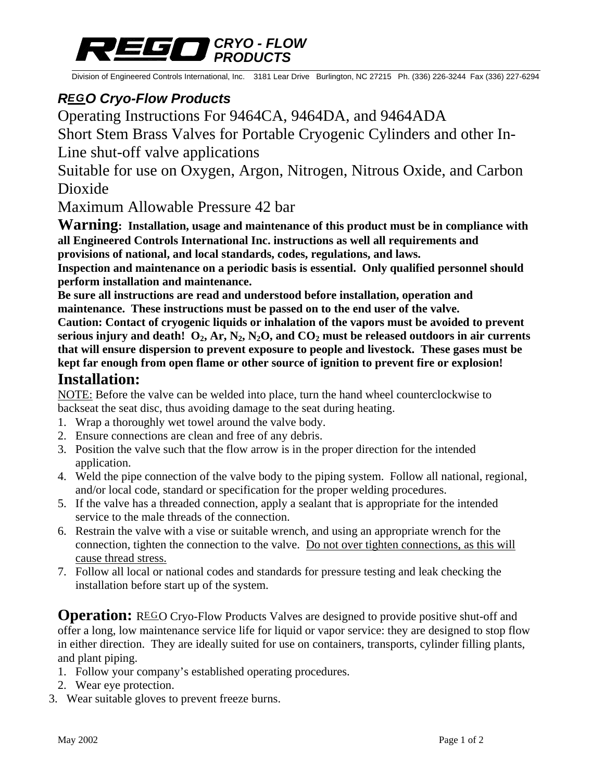

Division of Engineered Controls International, Inc. 3181 Lear Drive Burlington, NC 27215 Ph. (336) 226-3244 Fax (336) 227-6294

## *REGO Cryo-Flow Products*

Operating Instructions For 9464CA, 9464DA, and 9464ADA

Short Stem Brass Valves for Portable Cryogenic Cylinders and other In-

Line shut-off valve applications

Suitable for use on Oxygen, Argon, Nitrogen, Nitrous Oxide, and Carbon Dioxide

Maximum Allowable Pressure 42 bar

**Warning: Installation, usage and maintenance of this product must be in compliance with all Engineered Controls International Inc. instructions as well all requirements and provisions of national, and local standards, codes, regulations, and laws.** 

**Inspection and maintenance on a periodic basis is essential. Only qualified personnel should perform installation and maintenance.** 

**Be sure all instructions are read and understood before installation, operation and maintenance. These instructions must be passed on to the end user of the valve.** 

**Caution: Contact of cryogenic liquids or inhalation of the vapors must be avoided to prevent**  serious injury and death!  $O_2$ ,  $Ar$ ,  $N_2$ ,  $N_2O$ , and  $CO_2$  must be released outdoors in air currents **that will ensure dispersion to prevent exposure to people and livestock. These gases must be kept far enough from open flame or other source of ignition to prevent fire or explosion!** 

### **Installation:**

NOTE: Before the valve can be welded into place, turn the hand wheel counterclockwise to backseat the seat disc, thus avoiding damage to the seat during heating.

- 1. Wrap a thoroughly wet towel around the valve body.
- 2. Ensure connections are clean and free of any debris.
- 3. Position the valve such that the flow arrow is in the proper direction for the intended application.
- 4. Weld the pipe connection of the valve body to the piping system. Follow all national, regional, and/or local code, standard or specification for the proper welding procedures.
- 5. If the valve has a threaded connection, apply a sealant that is appropriate for the intended service to the male threads of the connection.
- 6. Restrain the valve with a vise or suitable wrench, and using an appropriate wrench for the connection, tighten the connection to the valve. Do not over tighten connections, as this will cause thread stress.
- 7. Follow all local or national codes and standards for pressure testing and leak checking the installation before start up of the system.

**Operation:** REGO Cryo-Flow Products Valves are designed to provide positive shut-off and offer a long, low maintenance service life for liquid or vapor service: they are designed to stop flow in either direction. They are ideally suited for use on containers, transports, cylinder filling plants, and plant piping.

- 1. Follow your company's established operating procedures.
- 2. Wear eye protection.
- 3. Wear suitable gloves to prevent freeze burns.